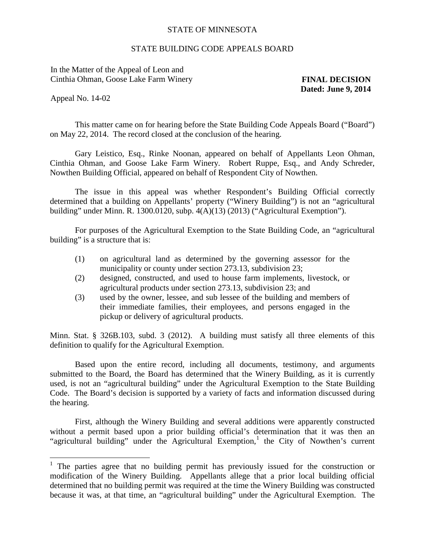## STATE OF MINNESOTA

## STATE BUILDING CODE APPEALS BOARD

In the Matter of the Appeal of Leon and Cinthia Ohman, Goose Lake Farm Winery **FINAL DECISION** 

**Dated: June 9, 2014** 

Appeal No. 14-02

 $\overline{a}$ 

 This matter came on for hearing before the State Building Code Appeals Board ("Board") on May 22, 2014. The record closed at the conclusion of the hearing.

Gary Leistico, Esq., Rinke Noonan, appeared on behalf of Appellants Leon Ohman, Cinthia Ohman, and Goose Lake Farm Winery. Robert Ruppe, Esq., and Andy Schreder, Nowthen Building Official, appeared on behalf of Respondent City of Nowthen.

The issue in this appeal was whether Respondent's Building Official correctly determined that a building on Appellants' property ("Winery Building") is not an "agricultural building" under Minn. R. 1300.0120, subp.  $4(A)(13)(2013)$  ("Agricultural Exemption").

For purposes of the Agricultural Exemption to the State Building Code, an "agricultural building" is a structure that is:

- (1) on agricultural land as determined by the governing assessor for the municipality or county under section 273.13, subdivision 23;
- (2) designed, constructed, and used to house farm implements, livestock, or agricultural products under section 273.13, subdivision 23; and
- (3) used by the owner, lessee, and sub lessee of the building and members of their immediate families, their employees, and persons engaged in the pickup or delivery of agricultural products.

 Minn. Stat. § 326B.103, subd. 3 (2012). A building must satisfy all three elements of this definition to qualify for the Agricultural Exemption.

Based upon the entire record, including all documents, testimony, and arguments submitted to the Board, the Board has determined that the Winery Building, as it is currently used, is not an "agricultural building" under the Agricultural Exemption to the State Building Code. The Board's decision is supported by a variety of facts and information discussed during the hearing.

 First, although the Winery Building and several additions were apparently constructed without a permit based upon a prior building official's determination that it was then an "agricultural building" under the Agricultural Exemption, the City of Nowthen's current

<span id="page-0-0"></span><sup>&</sup>lt;sup>1</sup> The parties agree that no building permit has previously issued for the construction or modification of the Winery Building. Appellants allege that a prior local building official determined that no building permit was required at the time the Winery Building was constructed because it was, at that time, an "agricultural building" under the Agricultural Exemption. The